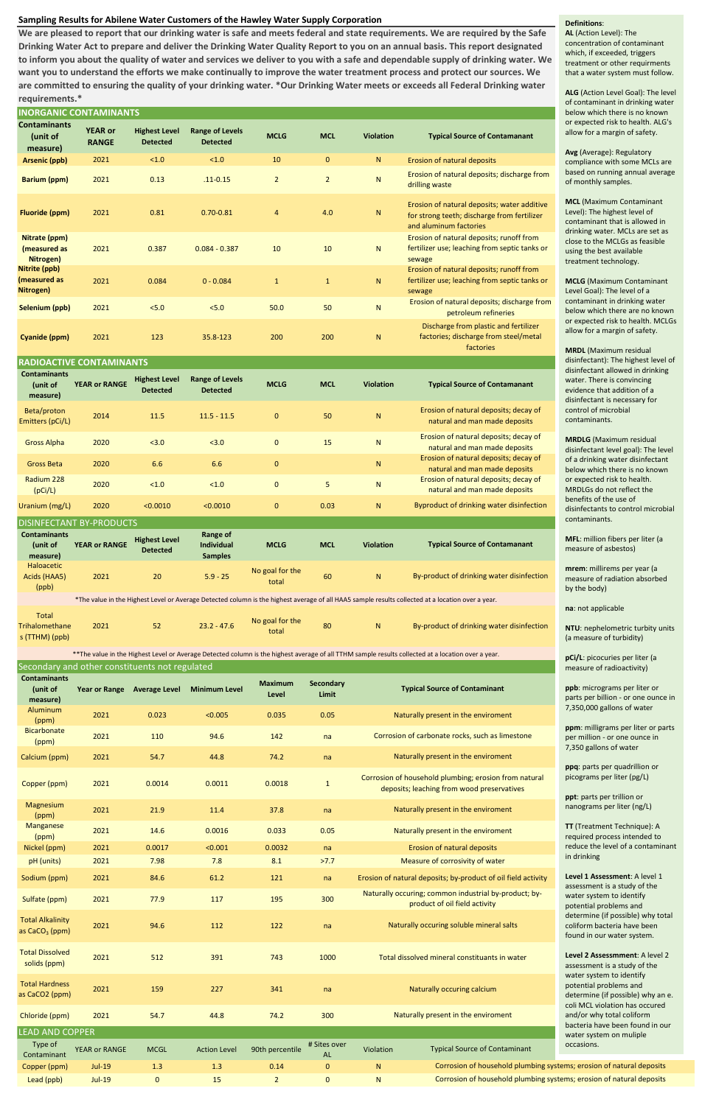# **Sampling Results for Abilene Water Customers of the Hawley Water Supply Corporation**

Magnesium

deposits; leaching from wood preservatives

|                                                  | <b>INORGANIC CONTAMINANTS</b>                  |                                         |                                                        |                          |                           |                                                 |                                                                                                                                                     |  |  |  |
|--------------------------------------------------|------------------------------------------------|-----------------------------------------|--------------------------------------------------------|--------------------------|---------------------------|-------------------------------------------------|-----------------------------------------------------------------------------------------------------------------------------------------------------|--|--|--|
| <b>Contaminants</b><br>(unit of<br>measure)      | <b>YEAR or</b><br><b>RANGE</b>                 | <b>Highest Level</b><br><b>Detected</b> | <b>Range of Levels</b><br><b>Detected</b>              | <b>MCLG</b>              | <b>MCL</b>                | <b>Violation</b>                                | <b>Typical Source of Contamanant</b>                                                                                                                |  |  |  |
| <b>Arsenic (ppb)</b>                             | 2021                                           | < 1.0                                   | < 1.0                                                  | 10                       | $\mathbf{0}$              | ${\sf N}$                                       | <b>Erosion of natural deposits</b>                                                                                                                  |  |  |  |
| <b>Barium (ppm)</b>                              | 2021                                           | 0.13                                    | $.11 - 0.15$                                           | $\overline{2}$           | $\overline{2}$            | ${\sf N}$                                       | Erosion of natural deposits; discharge from<br>drilling waste                                                                                       |  |  |  |
| <b>Fluoride (ppm)</b>                            | 2021                                           | 0.81                                    | $0.70 - 0.81$                                          | 4                        | 4.0                       | N                                               | Erosion of natural deposits; water additive<br>for strong teeth; discharge from fertilizer<br>and aluminum factories                                |  |  |  |
| Nitrate (ppm)<br>(measured as<br>Nitrogen)       | 2021                                           | 0.387                                   | $0.084 - 0.387$                                        | 10                       | 10                        | N                                               | Erosion of natural deposits; runoff from<br>fertilizer use; leaching from septic tanks or<br>sewage                                                 |  |  |  |
| Nitrite (ppb)<br>(measured as<br>Nitrogen)       | 2021                                           | 0.084                                   | $0 - 0.084$                                            | $\mathbf{1}$             | $\mathbf{1}$              | ${\sf N}$                                       | Erosion of natural deposits; runoff from<br>fertilizer use; leaching from septic tanks or<br>sewage                                                 |  |  |  |
| Selenium (ppb)                                   | 2021                                           | 5.0                                     | 5.0                                                    | 50.0                     | 50                        | ${\sf N}$                                       | Erosion of natural deposits; discharge from<br>petroleum refineries                                                                                 |  |  |  |
| Cyanide (ppm)                                    | 2021                                           | 123                                     | 35.8-123                                               | 200                      | 200                       | $\mathsf{N}$                                    | Discharge from plastic and fertilizer<br>factories; discharge from steel/metal<br>factories                                                         |  |  |  |
| <b>RADIOACTIVE CONTAMINANTS</b>                  |                                                |                                         |                                                        |                          |                           |                                                 |                                                                                                                                                     |  |  |  |
| <b>Contaminants</b><br>(unit of<br>measure)      | <b>YEAR or RANGE</b>                           | <b>Highest Level</b><br><b>Detected</b> | <b>Range of Levels</b><br><b>Detected</b>              | <b>MCLG</b>              | <b>MCL</b>                | <b>Violation</b>                                | <b>Typical Source of Contamanant</b>                                                                                                                |  |  |  |
| Beta/proton<br>Emitters (pCi/L)                  | 2014                                           | 11.5                                    | $11.5 - 11.5$                                          | $\mathbf{0}$             | 50                        | $\mathsf{N}$                                    | Erosion of natural deposits; decay of<br>natural and man made deposits                                                                              |  |  |  |
| <b>Gross Alpha</b>                               | 2020                                           | < 3.0                                   | < 3.0                                                  | $\pmb{0}$                | 15                        | ${\sf N}$                                       | Erosion of natural deposits; decay of<br>natural and man made deposits                                                                              |  |  |  |
| <b>Gross Beta</b>                                | 2020                                           | 6.6                                     | 6.6                                                    | 0                        |                           | $\mathsf{N}$                                    | Erosion of natural deposits; decay of<br>natural and man made deposits                                                                              |  |  |  |
| Radium 228<br>(pCi/L)                            | 2020                                           | < 1.0                                   | < 1.0                                                  | 0                        | 5                         | ${\sf N}$                                       | Erosion of natural deposits; decay of<br>natural and man made deposits                                                                              |  |  |  |
| Uranium (mg/L)                                   | 2020                                           | < 0.0010                                | < 0.0010                                               | 0                        | 0.03                      | N                                               | Byproduct of drinking water disinfection                                                                                                            |  |  |  |
|                                                  | <b>DISINFECTANT BY-PRODUCTS</b>                |                                         |                                                        |                          |                           |                                                 |                                                                                                                                                     |  |  |  |
| <b>Contaminants</b><br>(unit of<br>measure)      | <b>YEAR or RANGE</b>                           | <b>Highest Level</b><br><b>Detected</b> | <b>Range of</b><br><b>Individual</b><br><b>Samples</b> | <b>MCLG</b>              | <b>MCL</b>                | <b>Violation</b>                                | <b>Typical Source of Contamanant</b>                                                                                                                |  |  |  |
| <b>Haloacetic</b><br>Acids (HAA5)<br>(ppb)       | 2021                                           | 20                                      | $5.9 - 25$                                             | No goal for the<br>total | 60                        | ${\sf N}$                                       | By-product of drinking water disinfection                                                                                                           |  |  |  |
|                                                  |                                                |                                         |                                                        |                          |                           |                                                 | *The value in the Highest Level or Average Detected column is the highest average of all HAA5 sample results collected at a location over a year.   |  |  |  |
| <b>Total</b><br>Trihalomethane<br>s (TTHM) (ppb) | 2021                                           | 52                                      | $23.2 - 47.6$                                          | No goal for the<br>total | 80                        | ${\sf N}$                                       | By-product of drinking water disinfection                                                                                                           |  |  |  |
|                                                  |                                                |                                         |                                                        |                          |                           |                                                 | ** The value in the Highest Level or Average Detected column is the highest average of all TTHM sample results collected at a location over a year. |  |  |  |
| <b>Contaminants</b>                              | Secondary and other constituents not regulated |                                         |                                                        |                          |                           |                                                 |                                                                                                                                                     |  |  |  |
| (unit of<br>measure)                             | <b>Year or Range</b>                           | <b>Average Level</b>                    | <b>Minimum Level</b>                                   | <b>Maximum</b><br>Level  | <b>Secondary</b><br>Limit | <b>Typical Source of Contaminant</b>            |                                                                                                                                                     |  |  |  |
| Aluminum<br>(ppm)                                | 2021                                           | 0.023                                   | < 0.005                                                | 0.035                    | 0.05                      |                                                 | Naturally present in the enviroment                                                                                                                 |  |  |  |
| <b>Bicarbonate</b><br>(ppm)                      | 2021                                           | 110                                     | 94.6                                                   | 142                      | na                        | Corrosion of carbonate rocks, such as limestone |                                                                                                                                                     |  |  |  |
| Calcium (ppm)                                    | 2021                                           | 54.7                                    | 44.8                                                   | 74.2                     | na                        | Naturally present in the enviroment             |                                                                                                                                                     |  |  |  |
|                                                  |                                                |                                         |                                                        |                          |                           |                                                 | Corrosion of household plumbing; erosion from natural                                                                                               |  |  |  |

**ALG** (Action Level Goal): The level of contaminant in drinking water elow which there is no known or expected risk to health. ALG's llow for a margin of safety.

**MCL** (Maximum Contaminant evel): The highest level of ontaminant that is allowed in Irinking water. MCLs are set as lose to the MCLGs as feasible sing the best available reatment technology.

**MCLG** (Maximum Contaminant evel Goal): The level of a ontaminant in drinking water elow which there are no known or expected risk to health. MCLGs llow for a margin of safety.

**mrem**: millirems per year (a measure of radiation absorbed y the body)

**pCi/L**: picocuries per liter (a neasure of radioactivity)

| <u>iviagliesium</u><br>(ppm)                        | 2021                 | 21.9        | 11.4                | 37.8            | na                        | Naturally present in the enviroment                           |                                                                                        |  |  |
|-----------------------------------------------------|----------------------|-------------|---------------------|-----------------|---------------------------|---------------------------------------------------------------|----------------------------------------------------------------------------------------|--|--|
| <b>Manganese</b><br>(ppm)                           | 2021                 | 14.6        | 0.0016              | 0.033           | 0.05                      | Naturally present in the enviroment                           |                                                                                        |  |  |
| Nickel (ppm)                                        | 2021                 | 0.0017      | < 0.001             | 0.0032          | na                        | <b>Erosion of natural deposits</b>                            |                                                                                        |  |  |
| pH (units)                                          | 2021                 | 7.98        | 7.8                 | 8.1             | >7.7                      | Measure of corrosivity of water                               |                                                                                        |  |  |
| Sodium (ppm)                                        | 2021                 | 84.6        | 61.2                | 121             | na                        | Erosion of natural deposits; by-product of oil field activity |                                                                                        |  |  |
| Sulfate (ppm)                                       | 2021                 | 77.9        | 117                 | 195             | 300                       |                                                               | Naturally occuring; common industrial by-product; by-<br>product of oil field activity |  |  |
| <b>Total Alkalinity</b><br>as $CaCO3$ (ppm)         | 2021                 | 94.6        | 112                 | 122             | na                        | Naturally occuring soluble mineral salts                      |                                                                                        |  |  |
| <b>Total Dissolved</b><br>solids (ppm)              | 2021                 | 512         | 391                 | 743             | 1000                      | Total dissolved mineral constituants in water                 |                                                                                        |  |  |
| <b>Total Hardness</b><br>as CaCO <sub>2</sub> (ppm) | 2021                 | 159         | 227                 | 341             | na                        | Naturally occuring calcium                                    |                                                                                        |  |  |
| Chloride (ppm)                                      | 2021                 | 54.7        | 44.8                | 74.2            | 300                       | Naturally present in the enviroment                           |                                                                                        |  |  |
| <b>LEAD AND COPPER</b>                              |                      |             |                     |                 |                           |                                                               |                                                                                        |  |  |
| Type of<br>Contaminant                              | <b>YEAR or RANGE</b> | <b>MCGL</b> | <b>Action Level</b> | 90th percentile | # Sites over<br><b>AL</b> | Violation                                                     | <b>Typical Source of Contaminant</b>                                                   |  |  |
| Copper (ppm)                                        | <b>Jul-19</b>        | 1.3         | 1.3                 | 0.14            | $\mathbf{0}$              | N                                                             | Corrosion of household plumbing sy                                                     |  |  |
| Lead (ppb)                                          | <b>Jul-19</b>        | $\mathbf 0$ | 15                  | $\overline{2}$  | $\mathbf{0}$              | N                                                             | Corrosion of household plumbing sy                                                     |  |  |

Copper (ppm) 2021 0.0014 0.0011 0.0018 1

**We are pleased to report that our drinking water is safe and meets federal and state requirements. We are required by the Safe Drinking Water Act to prepare and deliver the Drinking Water Quality Report to you on an annual basis. This report designated to inform you about the quality of water and services we deliver to you with a safe and dependable supply of drinking water. We want you to understand the efforts we make continually to improve the water treatment process and protect our sources. We are committed to ensuring the quality of your drinking water. \*Our Drinking Water meets or exceeds all Federal Drinking water requirements.\***

### **Definitions**:

**AL** (Action Level): The concentration of contaminant which, if exceeded, triggers treatment or other requirments that a water system must follow.

**Avg** (Average): Regulatory ompliance with some MCLs are ased on running annual average of monthly samples.

**MRDL** (Maximum residual lisinfectant): The highest level of lisinfectant allowed in drinking vater. There is convincing vidence that addition of a lisinfectant is necessary for ontrol of microbial contaminants.

**MRDLG** (Maximum residual lisinfectant level goal): The level f a drinking water disinfectant elow which there is no known or expected risk to health. MRDLGs do not reflect the enefits of the use of lisinfectants to control microbial contaminants.

**MFL**: million fibers per liter (a measure of asbestos)

**na**: not applicable

**ITU**: nephelometric turbity units a measure of turbidity)

**ppb**: micrograms per liter or arts per billion - or one ounce in 7,350,000 gallons of water

**ppm**: milligrams per liter or parts er million - or one ounce in 7,350 gallons of water

**ppq**: parts per quadrillion or picograms per liter (pg/L)

**ppt**: parts per trillion or nanograms per liter (ng/L)

**TT** (Treatment Technique): A required process intended to reduce the level of a contaminant in drinking

**Level 1 Assessment**: A level 1 assessment is a study of the water system to identify potential problems and determine (if possible) why total coliform bacteria have been found in our water system.

**Level 2 Assessmment**: A level 2 assessment is a study of the water system to identify potential problems and determine (if possible) why an e. coli MCL violation has occured and/or why total coliform bacteria have been found in our water system on muliple occasions.

(stems; erosion of natural deposits ystems; erosion of natural deposits